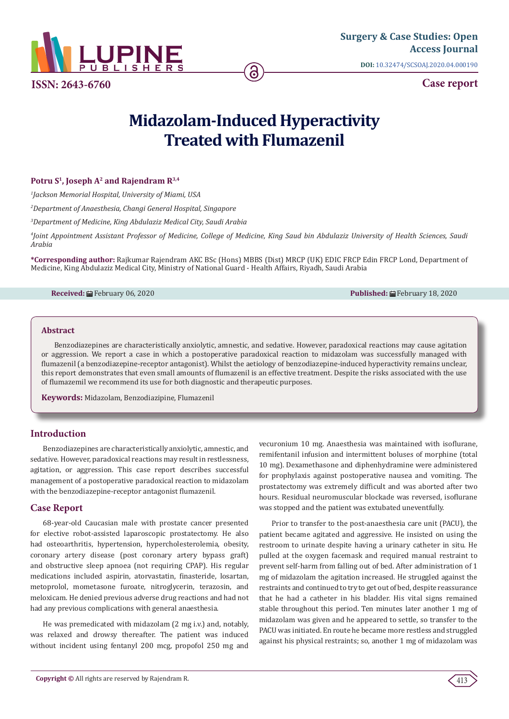

**[Surgery & Case Studies: Open](https://lupinepublishers.com/surgery-case-studies-journal/)  Access Journal DOI:** [10.32474/SCSOAJ.2020.04.000190](http://dx.doi.org/10.32474/SCSOAJ.2020.04.000190)

# **Case report**

# **Midazolam-Induced Hyperactivity Treated with Flumazenil**

## Potru S<sup>1</sup>, Joseph A<sup>2</sup> and Rajendram R<sup>3,4</sup>

*1 Jackson Memorial Hospital, University of Miami, USA*

*2 Department of Anaesthesia, Changi General Hospital, Singapore*

*3 Department of Medicine, King Abdulaziz Medical City, Saudi Arabia*

*4 Joint Appointment Assistant Professor of Medicine, College of Medicine, King Saud bin Abdulaziz University of Health Sciences, Saudi Arabia*

**\*Corresponding author:** Rajkumar Rajendram AKC BSc (Hons) MBBS (Dist) MRCP (UK) EDIC FRCP Edin FRCP Lond, Department of Medicine, King Abdulaziz Medical City, Ministry of National Guard - Health Affairs, Riyadh, Saudi Arabia

#### **Received:** February 06, 2020 **Published:** February 18, 2020

#### **Abstract**

Benzodiazepines are characteristically anxiolytic, amnestic, and sedative. However, paradoxical reactions may cause agitation or aggression. We report a case in which a postoperative paradoxical reaction to midazolam was successfully managed with flumazenil (a benzodiazepine-receptor antagonist). Whilst the aetiology of benzodiazepine-induced hyperactivity remains unclear, this report demonstrates that even small amounts of flumazenil is an effective treatment. Despite the risks associated with the use of flumazemil we recommend its use for both diagnostic and therapeutic purposes.

**Keywords:** Midazolam, Benzodiazipine, Flumazenil

## **Introduction**

Benzodiazepines are characteristically anxiolytic, amnestic, and sedative. However, paradoxical reactions may result in restlessness, agitation, or aggression. This case report describes successful management of a postoperative paradoxical reaction to midazolam with the benzodiazepine-receptor antagonist flumazenil.

## **Case Report**

68-year-old Caucasian male with prostate cancer presented for elective robot-assisted laparoscopic prostatectomy. He also had osteoarthritis, hypertension, hypercholesterolemia, obesity, coronary artery disease (post coronary artery bypass graft) and obstructive sleep apnoea (not requiring CPAP). His regular medications included aspirin, atorvastatin, finasteride, losartan, metoprolol, mometasone furoate, nitroglycerin, terazosin, and meloxicam. He denied previous adverse drug reactions and had not had any previous complications with general anaesthesia.

He was premedicated with midazolam (2 mg i.v.) and, notably, was relaxed and drowsy thereafter. The patient was induced without incident using fentanyl 200 mcg, propofol 250 mg and vecuronium 10 mg. Anaesthesia was maintained with isoflurane, remifentanil infusion and intermittent boluses of morphine (total 10 mg). Dexamethasone and diphenhydramine were administered for prophylaxis against postoperative nausea and vomiting. The prostatectomy was extremely difficult and was aborted after two hours. Residual neuromuscular blockade was reversed, isoflurane was stopped and the patient was extubated uneventfully.

Prior to transfer to the post-anaesthesia care unit (PACU), the patient became agitated and aggressive. He insisted on using the restroom to urinate despite having a urinary catheter in situ. He pulled at the oxygen facemask and required manual restraint to prevent self-harm from falling out of bed. After administration of 1 mg of midazolam the agitation increased. He struggled against the restraints and continued to try to get out of bed, despite reassurance that he had a catheter in his bladder. His vital signs remained stable throughout this period. Ten minutes later another 1 mg of midazolam was given and he appeared to settle, so transfer to the PACU was initiated. En route he became more restless and struggled against his physical restraints; so, another 1 mg of midazolam was

413